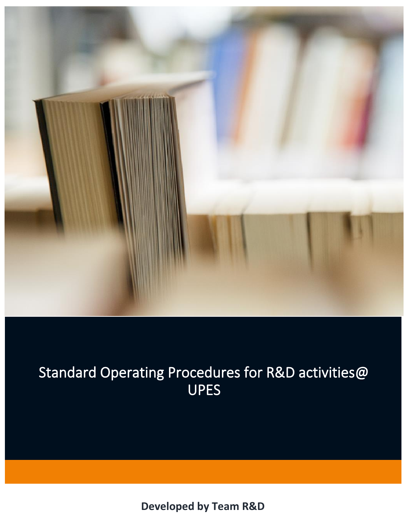

# Standard Operating Procedures for R&D activities@ UPES

**Developed by Team R&D**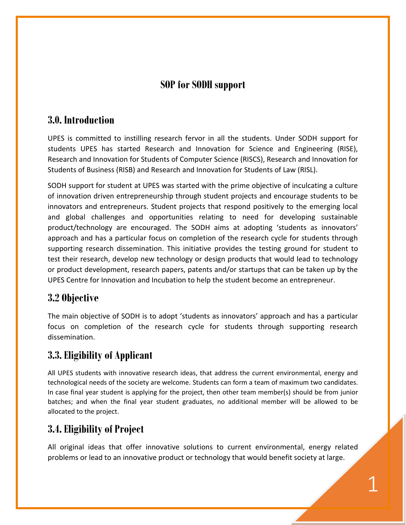# **SOP for SODH support**

#### **3.0. Introduction**

UPES is committed to instilling research fervor in all the students. Under SODH support for students UPES has started Research and Innovation for Science and Engineering (RISE), Research and Innovation for Students of Computer Science (RISCS), Research and Innovation for Students of Business (RISB) and Research and Innovation for Students of Law (RISL).

SODH support for student at UPES was started with the prime objective of inculcating a culture of innovation driven entrepreneurship through student projects and encourage students to be innovators and entrepreneurs. Student projects that respond positively to the emerging local and global challenges and opportunities relating to need for developing sustainable product/technology are encouraged. The SODH aims at adopting 'students as innovators' approach and has a particular focus on completion of the research cycle for students through supporting research dissemination. This initiative provides the testing ground for student to test their research, develop new technology or design products that would lead to technology or product development, research papers, patents and/or startups that can be taken up by the UPES Centre for Innovation and Incubation to help the student become an entrepreneur.

## **3.2 Objective**

The main objective of SODH is to adopt 'students as innovators' approach and has a particular focus on completion of the research cycle for students through supporting research dissemination.

# **3.3. Eligibility of Applicant**

All UPES students with innovative research ideas, that address the current environmental, energy and technological needs of the society are welcome. Students can form a team of maximum two candidates. In case final year student is applying for the project, then other team member(s) should be from junior batches; and when the final year student graduates, no additional member will be allowed to be allocated to the project.

# **3.4. Eligibility of Project**

All original ideas that offer innovative solutions to current environmental, energy related problems or lead to an innovative product or technology that would benefit society at large.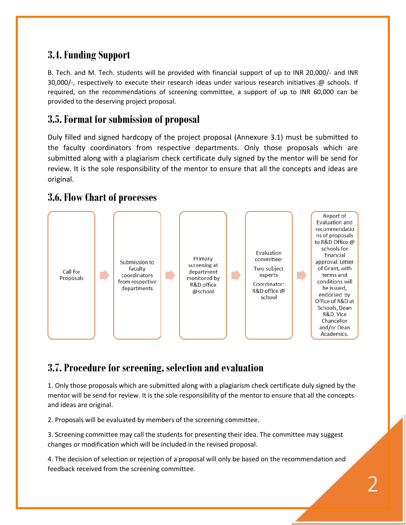# **3.4. Funding Support**

B. Tech. and M. Tech. students will be provided with financial support of up to INR 20,000/- and INR 30,000/-, respectively to execute their research ideas under various research initiatives  $\omega$  schools. If required, on the recommendations of screening committee, a support of up to INR 60,000 can be provided to the deserving project proposal.

#### **3.5. Format for submission of proposal**

Duly filled and signed hardcopy of the project proposal (Annexure 3.1) must be submitted to the faculty coordinators from respective departments. Only those proposals which are submitted along with a plagiarism check certificate duly signed by the mentor will be send for review. It is the sole responsibility of the mentor to ensure that all the concepts and ideas are original.

#### **3.6. Flow Chart of processes**



## **3.7. Procedure for screening, selection and evaluation**

1. Only those proposals which are submitted along with a plagiarism check certificate duly signed by the mentor will be send for review. It is the sole responsibility of the mentor to ensure that all the concepts and ideas are original.

2. Proposals will be evaluated by members of the screening committee.

3. Screening committee may call the students for presenting their idea. The committee may suggest changes or modification which will be included in the revised proposal.

4. The decision of selection or rejection of a proposal will only be based on the recommendation and feedback received from the screening committee.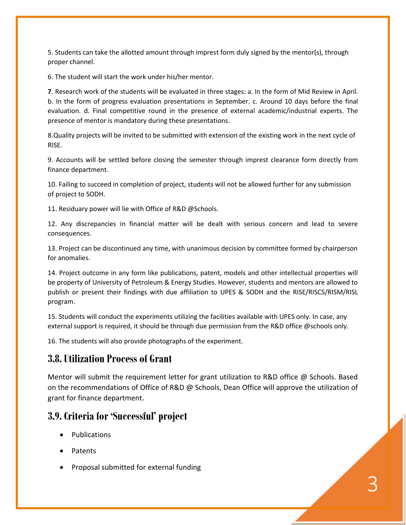5. Students can take the allotted amount through imprest form duly signed by the mentor(s), through proper channel.

6. The student will start the work under his/her mentor.

**7**. Research work of the students will be evaluated in three stages: a. In the form of Mid Review in April. b. In the form of progress evaluation presentations in September. c. Around 10 days before the final evaluation. d. Final competitive round in the presence of external academic/industrial experts. The presence of mentor is mandatory during these presentations.

8.Quality projects will be invited to be submitted with extension of the existing work in the next cycle of RISE.

9. Accounts will be settled before closing the semester through imprest clearance form directly from finance department.

10. Failing to succeed in completion of project, students will not be allowed further for any submission of project to SODH.

11. Residuary power will lie with Office of R&D @Schools.

12. Any discrepancies in financial matter will be dealt with serious concern and lead to severe consequences.

13. Project can be discontinued any time, with unanimous decision by committee formed by chairperson for anomalies.

14. Project outcome in any form like publications, patent, models and other intellectual properties will be property of University of Petroleum & Energy Studies. However, students and mentors are allowed to publish or present their findings with due affiliation to UPES & SODH and the RISE/RISCS/RISM/RISL program.

15. Students will conduct the experiments utilizing the facilities available with UPES only. In case, any external support is required, it should be through due permission from the R&D office @schools only.

16. The students will also provide photographs of the experiment.

#### **3.8. Utilization Process of Grant**

Mentor will submit the requirement letter for grant utilization to R&D office @ Schools. Based on the recommendations of Office of R&D @ Schools, Dean Office will approve the utilization of grant for finance department.

#### **3.9. Criteria for 'Successful' project**

- Publications
- Patents
- Proposal submitted for external funding